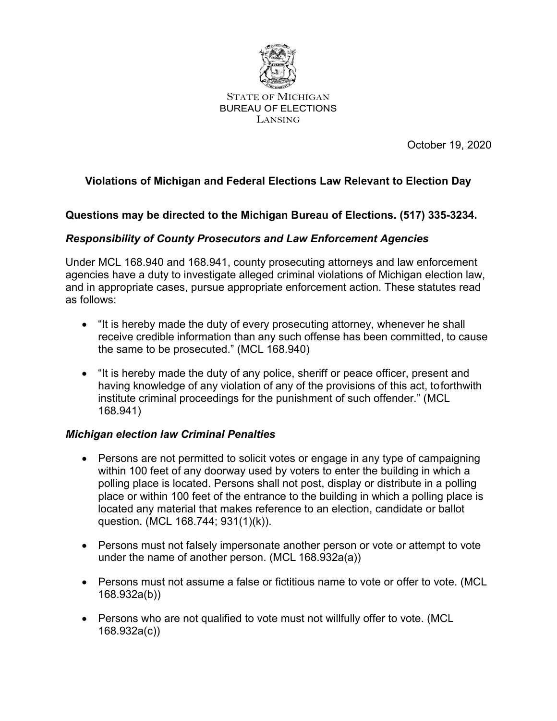

STATE OF MICHIGAN BUREAU OF ELECTIONS LANSING

October 19, 2020

# **Violations of Michigan and Federal Elections Law Relevant to Election Day**

## **Questions may be directed to the Michigan Bureau of Elections. (517) 335-3234.**

## *Responsibility of County Prosecutors and Law Enforcement Agencies*

Under MCL 168.940 and 168.941, county prosecuting attorneys and law enforcement agencies have a duty to investigate alleged criminal violations of Michigan election law, and in appropriate cases, pursue appropriate enforcement action. These statutes read as follows:

- "It is hereby made the duty of every prosecuting attorney, whenever he shall receive credible information than any such offense has been committed, to cause the same to be prosecuted." (MCL 168.940)
- "It is hereby made the duty of any police, sheriff or peace officer, present and having knowledge of any violation of any of the provisions of this act, toforthwith institute criminal proceedings for the punishment of such offender." (MCL 168.941)

#### *Michigan election law Criminal Penalties*

- Persons are not permitted to solicit votes or engage in any type of campaigning within 100 feet of any doorway used by voters to enter the building in which a polling place is located. Persons shall not post, display or distribute in a polling place or within 100 feet of the entrance to the building in which a polling place is located any material that makes reference to an election, candidate or ballot question. (MCL 168.744; 931(1)(k)).
- Persons must not falsely impersonate another person or vote or attempt to vote under the name of another person. (MCL 168.932a(a))
- Persons must not assume a false or fictitious name to vote or offer to vote. (MCL 168.932a(b))
- Persons who are not qualified to vote must not willfully offer to vote. (MCL 168.932a(c))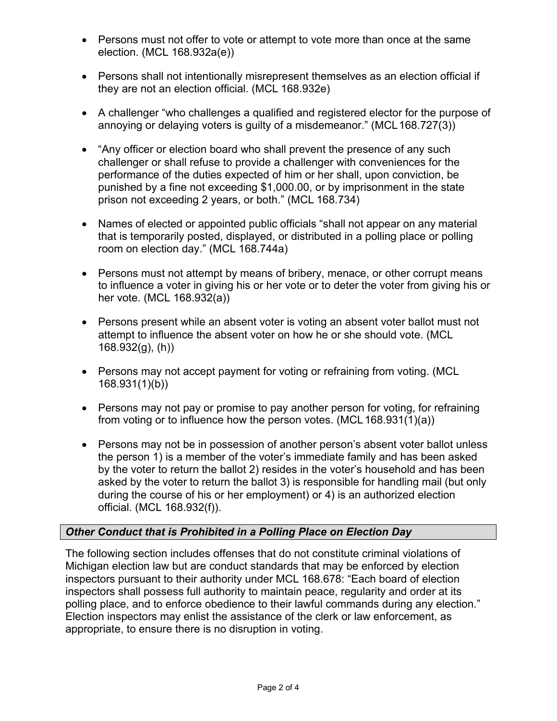- Persons must not offer to vote or attempt to vote more than once at the same election. (MCL 168.932a(e))
- Persons shall not intentionally misrepresent themselves as an election official if they are not an election official. (MCL 168.932e)
- A challenger "who challenges a qualified and registered elector for the purpose of annoying or delaying voters is guilty of a misdemeanor." (MCL168.727(3))
- "Any officer or election board who shall prevent the presence of any such challenger or shall refuse to provide a challenger with conveniences for the performance of the duties expected of him or her shall, upon conviction, be punished by a fine not exceeding \$1,000.00, or by imprisonment in the state prison not exceeding 2 years, or both." (MCL 168.734)
- Names of elected or appointed public officials "shall not appear on any material that is temporarily posted, displayed, or distributed in a polling place or polling room on election day." (MCL 168.744a)
- Persons must not attempt by means of bribery, menace, or other corrupt means to influence a voter in giving his or her vote or to deter the voter from giving his or her vote. (MCL 168.932(a))
- Persons present while an absent voter is voting an absent voter ballot must not attempt to influence the absent voter on how he or she should vote. (MCL 168.932(g), (h))
- Persons may not accept payment for voting or refraining from voting. (MCL 168.931(1)(b))
- Persons may not pay or promise to pay another person for voting, for refraining from voting or to influence how the person votes. (MCL168.931(1)(a))
- Persons may not be in possession of another person's absent voter ballot unless the person 1) is a member of the voter's immediate family and has been asked by the voter to return the ballot 2) resides in the voter's household and has been asked by the voter to return the ballot 3) is responsible for handling mail (but only during the course of his or her employment) or 4) is an authorized election official. (MCL 168.932(f)).

## *Other Conduct that is Prohibited in a Polling Place on Election Day*

The following section includes offenses that do not constitute criminal violations of Michigan election law but are conduct standards that may be enforced by election inspectors pursuant to their authority under MCL 168.678: "Each board of election inspectors shall possess full authority to maintain peace, regularity and order at its polling place, and to enforce obedience to their lawful commands during any election." Election inspectors may enlist the assistance of the clerk or law enforcement, as appropriate, to ensure there is no disruption in voting.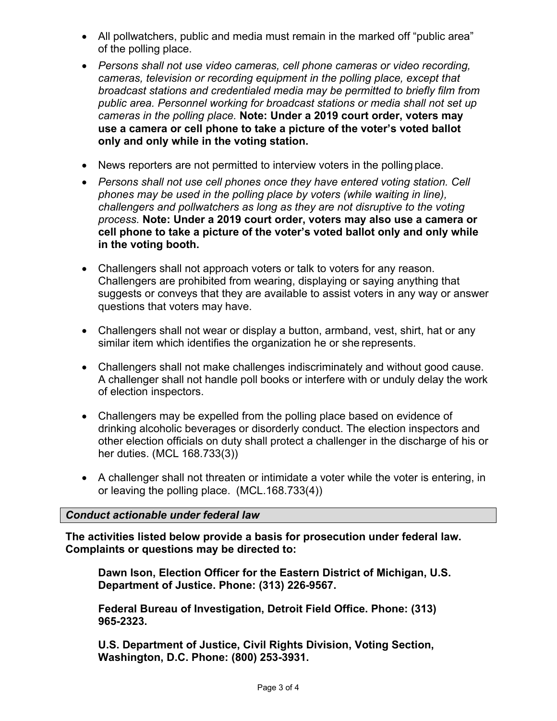- All pollwatchers, public and media must remain in the marked off "public area" of the polling place.
- *Persons shall not use video cameras, cell phone cameras or video recording, cameras, television or recording equipment in the polling place, except that broadcast stations and credentialed media may be permitted to briefly film from public area. Personnel working for broadcast stations or media shall not set up cameras in the polling place.* **Note: Under a 2019 court order, voters may use a camera or cell phone to take a picture of the voter's voted ballot only and only while in the voting station.**
- News reporters are not permitted to interview voters in the polling place.
- *Persons shall not use cell phones once they have entered voting station. Cell phones may be used in the polling place by voters (while waiting in line), challengers and pollwatchers as long as they are not disruptive to the voting process.* **Note: Under a 2019 court order, voters may also use a camera or cell phone to take a picture of the voter's voted ballot only and only while in the voting booth.**
- Challengers shall not approach voters or talk to voters for any reason. Challengers are prohibited from wearing, displaying or saying anything that suggests or conveys that they are available to assist voters in any way or answer questions that voters may have.
- Challengers shall not wear or display a button, armband, vest, shirt, hat or any similar item which identifies the organization he or she represents.
- Challengers shall not make challenges indiscriminately and without good cause. A challenger shall not handle poll books or interfere with or unduly delay the work of election inspectors.
- Challengers may be expelled from the polling place based on evidence of drinking alcoholic beverages or disorderly conduct. The election inspectors and other election officials on duty shall protect a challenger in the discharge of his or her duties. (MCL 168.733(3))
- A challenger shall not threaten or intimidate a voter while the voter is entering, in or leaving the polling place. (MCL.168.733(4))

#### *Conduct actionable under federal law*

**The activities listed below provide a basis for prosecution under federal law. Complaints or questions may be directed to:**

**Dawn Ison, Election Officer for the Eastern District of Michigan, U.S. Department of Justice. Phone: (313) 226-9567.**

**Federal Bureau of Investigation, Detroit Field Office. Phone: (313) 965-2323.**

**U.S. Department of Justice, Civil Rights Division, Voting Section, Washington, D.C. Phone: (800) 253-3931.**